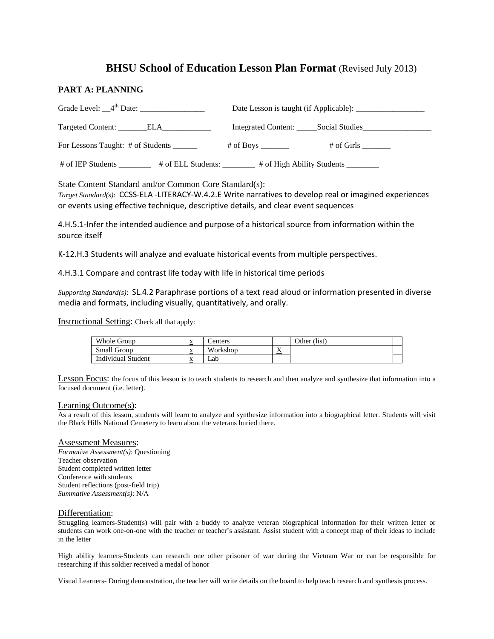# **BHSU School of Education Lesson Plan Format** (Revised July 2013)

### **PART A: PLANNING**

| Targeted Content: ________ELA_____________ |                            |
|--------------------------------------------|----------------------------|
| For Lessons Taught: # of Students ______   | # of Girls<br># of Boys    |
| # of IEP Students<br># of ELL Students:    | # of High Ability Students |

### State Content Standard and/or Common Core Standard(s):

 *Target Standard(s)*: CCSS-ELA -LITERACY-W.4.2.E Write narratives to develop real or imagined experiences or events using effective technique, descriptive details, and clear event sequences

 4.H.5.1-Infer the intended audience and purpose of a historical source from information within the source itself

K-12.H.3 Students will analyze and evaluate historical events from multiple perspectives.

4.H.3.1 Compare and contrast life today with life in historical time periods

 *Supporting Standard(s)*: SL.4.2 Paraphrase portions of a text read aloud or information presented in diverse media and formats, including visually, quantitatively, and orally.

Instructional Setting: Check all that apply:

| Whole Group               | <b>Y</b><br>$\Delta$       | Centers  |                                | Other (list) |  |
|---------------------------|----------------------------|----------|--------------------------------|--------------|--|
| Small Group               | <b>Y</b><br>$\Delta$       | Workshop | $\mathbf{r}$<br>$\overline{v}$ |              |  |
| <b>Individual Student</b> | <b>Y</b><br>$\Lambda$<br>_ | Lab      |                                |              |  |

Lesson Focus: the focus of this lesson is to teach students to research and then analyze and synthesize that information into a focused document (i.e. letter).

#### Learning Outcome(s):

As a result of this lesson, students will learn to analyze and synthesize information into a biographical letter. Students will visit the Black Hills National Cemetery to learn about the veterans buried there.

#### Assessment Measures:

 *Formative Assessment(s)*: Questioning Teacher observation Student completed written letter Conference with students Student reflections (post-field trip) *Summative Assessment(s)*: N/A

#### Differentiation:

Struggling learners-Student(s) will pair with a buddy to analyze veteran biographical information for their written letter or students can work one-on-one with the teacher or teacher's assistant. Assist student with a concept map of their ideas to include in the letter

High ability learners-Students can research one other prisoner of war during the Vietnam War or can be responsible for researching if this soldier received a medal of honor

Visual Learners- During demonstration, the teacher will write details on the board to help teach research and synthesis process.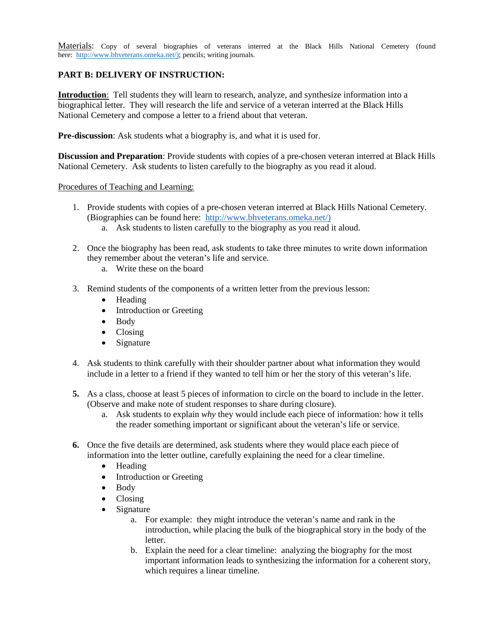here: [http://www.bhveterans.omeka.net/\);](http://www.bhveterans.omeka.net/)) pencils; writing journals. Materials: Copy of several biographies of veterans interred at the Black Hills National Cemetery (found

# **PART B: DELIVERY OF INSTRUCTION:**

 **Introduction**: Tell students they will learn to research, analyze, and synthesize information into a biographical letter. They will research the life and service of a veteran interred at the Black Hills National Cemetery and compose a letter to a friend about that veteran.

**Pre-discussion**: Ask students what a biography is, and what it is used for.

**Discussion and Preparation**: Provide students with copies of a pre-chosen veteran interred at Black Hills National Cemetery. Ask students to listen carefully to the biography as you read it aloud.

Procedures of Teaching and Learning:

- (Biographies can be found here: http://www.bhveterans.omeka.net/) Procedures of Teaching and Learning:<br>
1. Provide students with copies of a pre-chosen veteran interred at Black Hills National Cemetery.<br>
(Biographies can be found here: http://www.bhveterans.omeka.net/)
	- a. Ask students to listen carefully to the biography as you read it aloud.
	- 2. Once the biography has been read, ask students to take three minutes to write down information they remember about the veteran's life and service.
		- a. Write these on the board
	- 3. Remind students of the components of a written letter from the previous lesson:
		- Heading
		- Introduction or Greeting
		- Body
		- Closing
		- Signature
	- include in a letter to a friend if they wanted to tell him or her the story of this veteran's life. 4. Ask students to think carefully with their shoulder partner about what information they would
	- **5.** As a class, choose at least 5 pieces of information to circle on the board to include in the letter. (Observe and make note of student responses to share during closure).
		- a. Ask students to explain *why* they would include each piece of information: how it tells the reader something important or significant about the veteran's life or service.
	- **6.** Once the five details are determined, ask students where they would place each piece of information into the letter outline, carefully explaining the need for a clear timeline.
		- Heading
		- Introduction or Greeting
		- Body
		- Closing
		- Signature
			- introduction, while placing the bulk of the biographical story in the body of the a. For example: they might introduce the veteran's name and rank in the letter.
			- b. Explain the need for a clear timeline: analyzing the biography for the most which requires a linear timeline. important information leads to synthesizing the information for a coherent story,